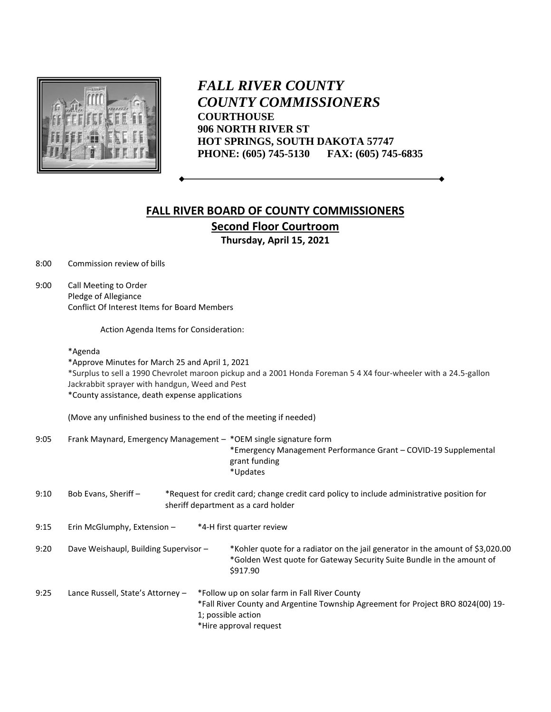

*FALL RIVER COUNTY COUNTY COMMISSIONERS* **COURTHOUSE 906 NORTH RIVER ST HOT SPRINGS, SOUTH DAKOTA 57747 PHONE: (605) 745-5130 FAX: (605) 745-6835**

## **FALL RIVER BOARD OF COUNTY COMMISSIONERS Second Floor Courtroom Thursday, April 15, 2021**

8:00 Commission review of bills

9:00 Call Meeting to Order Pledge of Allegiance Conflict Of Interest Items for Board Members

Action Agenda Items for Consideration:

## \*Agenda

\*Approve Minutes for March 25 and April 1, 2021 \*Surplus to sell a 1990 Chevrolet maroon pickup and a 2001 Honda Foreman 5 4 X4 four-wheeler with a 24.5-gallon Jackrabbit sprayer with handgun, Weed and Pest \*County assistance, death expense applications

(Move any unfinished business to the end of the meeting if needed)

9:05 Frank Maynard, Emergency Management – \*OEM single signature form \*Emergency Management Performance Grant – COVID-19 Supplemental grant funding

\*Updates

| 9:10 | Bob Evans. Sheriff - | *Request for credit card; change credit card policy to include administrative position for |  |  |
|------|----------------------|--------------------------------------------------------------------------------------------|--|--|
|      |                      | sheriff department as a card holder                                                        |  |  |

| 9:15 | Erin McGlumphy, Extension - | *4-H first quarter review |
|------|-----------------------------|---------------------------|
|------|-----------------------------|---------------------------|

9:20 Dave Weishaupl, Building Supervisor – \*Kohler quote for a radiator on the jail generator in the amount of \$3,020.00 \*Golden West quote for Gateway Security Suite Bundle in the amount of \$917.90

9:25 Lance Russell, State's Attorney – \*Follow up on solar farm in Fall River County \*Fall River County and Argentine Township Agreement for Project BRO 8024(00) 19- 1; possible action \*Hire approval request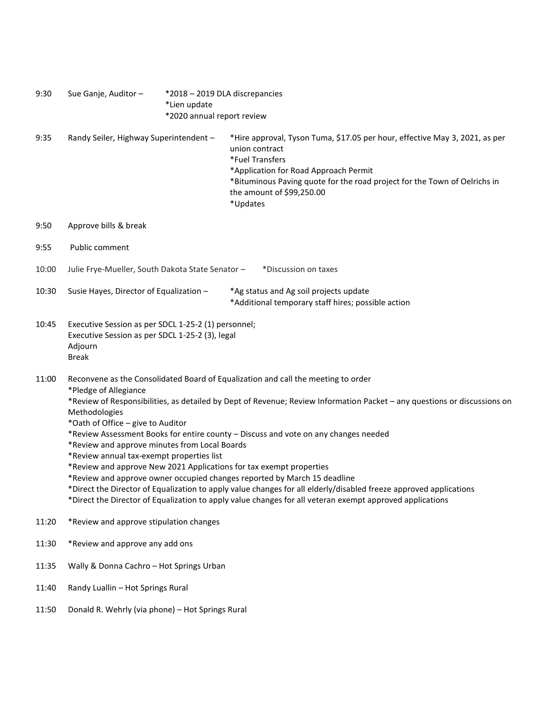| 9:30  | Sue Ganje, Auditor-                                                                                                                                                                                                                                                                                                                                                                                                                                                                                                                                                                                                                                                                                                                                                                                                                                                   | *Lien update<br>*2020 annual report review | *2018 - 2019 DLA discrepancies                                                                                                                                                                                                                                                  |  |  |
|-------|-----------------------------------------------------------------------------------------------------------------------------------------------------------------------------------------------------------------------------------------------------------------------------------------------------------------------------------------------------------------------------------------------------------------------------------------------------------------------------------------------------------------------------------------------------------------------------------------------------------------------------------------------------------------------------------------------------------------------------------------------------------------------------------------------------------------------------------------------------------------------|--------------------------------------------|---------------------------------------------------------------------------------------------------------------------------------------------------------------------------------------------------------------------------------------------------------------------------------|--|--|
| 9:35  | Randy Seiler, Highway Superintendent -                                                                                                                                                                                                                                                                                                                                                                                                                                                                                                                                                                                                                                                                                                                                                                                                                                |                                            | *Hire approval, Tyson Tuma, \$17.05 per hour, effective May 3, 2021, as per<br>union contract<br>*Fuel Transfers<br>*Application for Road Approach Permit<br>*Bituminous Paving quote for the road project for the Town of Oelrichs in<br>the amount of \$99,250.00<br>*Updates |  |  |
| 9:50  | Approve bills & break                                                                                                                                                                                                                                                                                                                                                                                                                                                                                                                                                                                                                                                                                                                                                                                                                                                 |                                            |                                                                                                                                                                                                                                                                                 |  |  |
| 9:55  | Public comment                                                                                                                                                                                                                                                                                                                                                                                                                                                                                                                                                                                                                                                                                                                                                                                                                                                        |                                            |                                                                                                                                                                                                                                                                                 |  |  |
| 10:00 | Julie Frye-Mueller, South Dakota State Senator -<br>*Discussion on taxes                                                                                                                                                                                                                                                                                                                                                                                                                                                                                                                                                                                                                                                                                                                                                                                              |                                            |                                                                                                                                                                                                                                                                                 |  |  |
| 10:30 | Susie Hayes, Director of Equalization -                                                                                                                                                                                                                                                                                                                                                                                                                                                                                                                                                                                                                                                                                                                                                                                                                               |                                            | *Ag status and Ag soil projects update<br>*Additional temporary staff hires; possible action                                                                                                                                                                                    |  |  |
| 10:45 | Executive Session as per SDCL 1-25-2 (1) personnel;<br>Executive Session as per SDCL 1-25-2 (3), legal<br>Adjourn<br><b>Break</b>                                                                                                                                                                                                                                                                                                                                                                                                                                                                                                                                                                                                                                                                                                                                     |                                            |                                                                                                                                                                                                                                                                                 |  |  |
| 11:00 | Reconvene as the Consolidated Board of Equalization and call the meeting to order<br>*Pledge of Allegiance<br>*Review of Responsibilities, as detailed by Dept of Revenue; Review Information Packet - any questions or discussions on<br>Methodologies<br>*Oath of Office - give to Auditor<br>*Review Assessment Books for entire county - Discuss and vote on any changes needed<br>*Review and approve minutes from Local Boards<br>*Review annual tax-exempt properties list<br>*Review and approve New 2021 Applications for tax exempt properties<br>*Review and approve owner occupied changes reported by March 15 deadline<br>*Direct the Director of Equalization to apply value changes for all elderly/disabled freeze approved applications<br>*Direct the Director of Equalization to apply value changes for all veteran exempt approved applications |                                            |                                                                                                                                                                                                                                                                                 |  |  |
| 11:20 | *Review and approve stipulation changes                                                                                                                                                                                                                                                                                                                                                                                                                                                                                                                                                                                                                                                                                                                                                                                                                               |                                            |                                                                                                                                                                                                                                                                                 |  |  |
| 11:30 | *Review and approve any add ons                                                                                                                                                                                                                                                                                                                                                                                                                                                                                                                                                                                                                                                                                                                                                                                                                                       |                                            |                                                                                                                                                                                                                                                                                 |  |  |
| 11:35 | Wally & Donna Cachro - Hot Springs Urban                                                                                                                                                                                                                                                                                                                                                                                                                                                                                                                                                                                                                                                                                                                                                                                                                              |                                            |                                                                                                                                                                                                                                                                                 |  |  |
| 11:40 | Randy Luallin - Hot Springs Rural                                                                                                                                                                                                                                                                                                                                                                                                                                                                                                                                                                                                                                                                                                                                                                                                                                     |                                            |                                                                                                                                                                                                                                                                                 |  |  |
| 11:50 | Donald R. Wehrly (via phone) - Hot Springs Rural                                                                                                                                                                                                                                                                                                                                                                                                                                                                                                                                                                                                                                                                                                                                                                                                                      |                                            |                                                                                                                                                                                                                                                                                 |  |  |